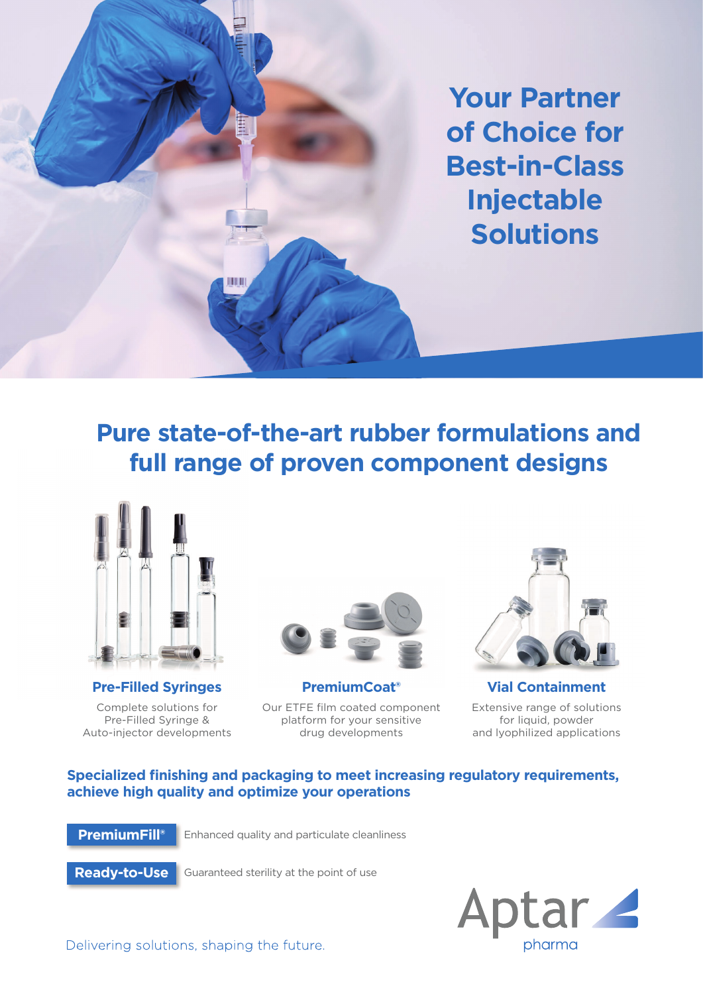**Your Partner of Choice for Best-in-Class Injectable Solutions**

## **Pure state-of-the-art rubber formulations and full range of proven component designs**



Complete solutions for Pre-Filled Syringe & Auto-injector developments



Our ETFE film coated component platform for your sensitive drug developments



**Pre-Filled Syringes PremiumCoat® Vial Containment** Extensive range of solutions for liquid, powder and lyophilized applications

## **Specialized finishing and packaging to meet increasing regulatory requirements, achieve high quality and optimize your operations**

**PremiumFill®** Enhanced quality and particulate cleanliness

**Ready-to-Use**

Guaranteed sterility at the point of use



Delivering solutions, shaping the future.